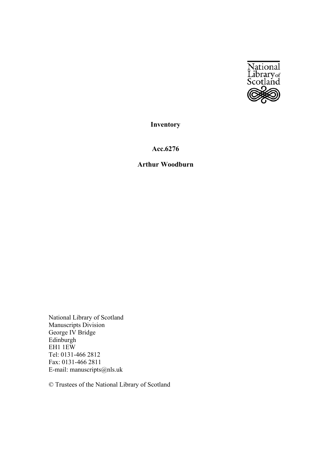

**Inventory** 

**Acc.6276** 

# **Arthur Woodburn**

National Library of Scotland Manuscripts Division George IV Bridge Edinburgh EH1 1EW Tel: 0131-466 2812 Fax: 0131-466 2811 E-mail: manuscripts@nls.uk

© Trustees of the National Library of Scotland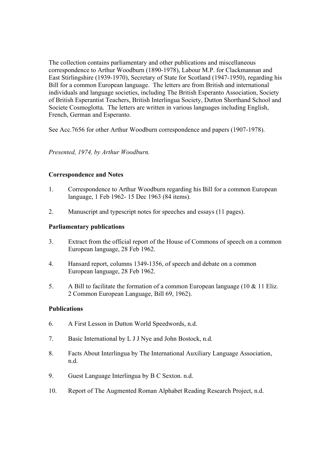The collection contains parliamentary and other publications and miscellaneous correspondence to Arthur Woodburn (1890-1978), Labour M.P. for Clackmannan and East Stirlingshire (1939-1970), Secretary of State for Scotland (1947-1950), regarding his Bill for a common European language. The letters are from British and international individuals and language societies, including The British Esperanto Association, Society of British Esperantist Teachers, British Interlingua Society, Dutton Shorthand School and Societe Cosmoglotta. The letters are written in various languages including English, French, German and Esperanto.

See Acc.7656 for other Arthur Woodburn correspondence and papers (1907-1978).

## *Presented, 1974, by Arthur Woodburn.*

## **Correspondence and Notes**

- 1. Correspondence to Arthur Woodburn regarding his Bill for a common European language, 1 Feb 1962- 15 Dec 1963 (84 items).
- 2. Manuscript and typescript notes for speeches and essays (11 pages).

### **Parliamentary publications**

- 3. Extract from the official report of the House of Commons of speech on a common European language, 28 Feb 1962.
- 4. Hansard report, columns 1349-1356, of speech and debate on a common European language, 28 Feb 1962.
- 5. A Bill to facilitate the formation of a common European language (10 & 11 Eliz. 2 Common European Language, Bill 69, 1962).

### **Publications**

- 6. A First Lesson in Dutton World Speedwords, n.d.
- 7. Basic International by L J J Nye and John Bostock, n.d.
- 8. Facts About Interlingua by The International Auxiliary Language Association, n.d.
- 9. Guest Language Interlingua by B C Sexton. n.d.
- 10. Report of The Augmented Roman Alphabet Reading Research Project, n.d.